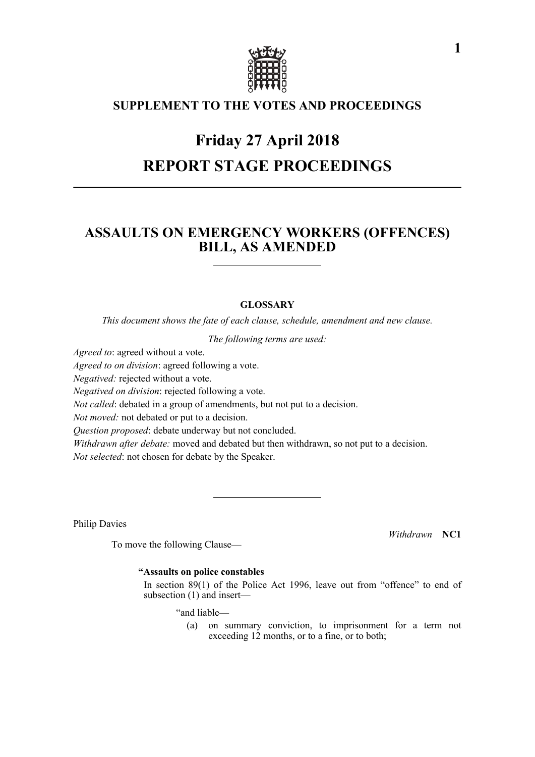

### **SUPPLEMENT TO THE VOTES AND PROCEEDINGS**

# **Friday 27 April 2018 REPORT STAGE PROCEEDINGS**

### **ASSAULTS ON EMERGENCY WORKERS (OFFENCES) BILL, AS AMENDED**

### **GLOSSARY**

*This document shows the fate of each clause, schedule, amendment and new clause.*

*The following terms are used:*

*Agreed to*: agreed without a vote.

*Agreed to on division*: agreed following a vote.

*Negatived:* rejected without a vote.

*Negatived on division*: rejected following a vote.

*Not called*: debated in a group of amendments, but not put to a decision.

*Not moved:* not debated or put to a decision.

*Question proposed*: debate underway but not concluded.

*Withdrawn after debate:* moved and debated but then withdrawn, so not put to a decision. *Not selected*: not chosen for debate by the Speaker.

Philip Davies

*Withdrawn* **NC1**

**"Assaults on police constables**

To move the following Clause—

 In section 89(1) of the Police Act 1996, leave out from "offence" to end of subsection (1) and insert—

"and liable—

(a) on summary conviction, to imprisonment for a term not exceeding 12 months, or to a fine, or to both;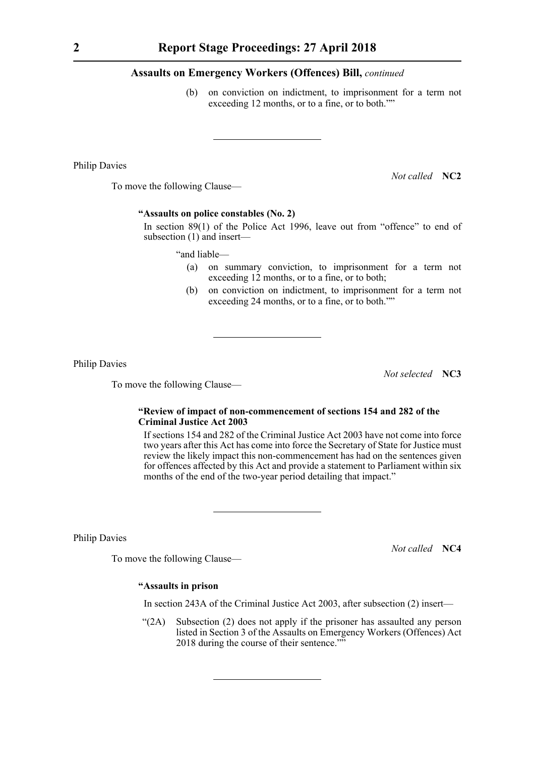(b) on conviction on indictment, to imprisonment for a term not exceeding 12 months, or to a fine, or to both.""

Philip Davies

*Not called* **NC2**

To move the following Clause—

#### **"Assaults on police constables (No. 2)**

 In section 89(1) of the Police Act 1996, leave out from "offence" to end of subsection (1) and insert—

"and liable—

- (a) on summary conviction, to imprisonment for a term not exceeding 12 months, or to a fine, or to both;
- (b) on conviction on indictment, to imprisonment for a term not exceeding 24 months, or to a fine, or to both.""

Philip Davies

To move the following Clause—

*Not selected* **NC3**

#### **"Review of impact of non-commencement of sections 154 and 282 of the Criminal Justice Act 2003**

 If sections 154 and 282 of the Criminal Justice Act 2003 have not come into force two years after this Act has come into force the Secretary of State for Justice must review the likely impact this non-commencement has had on the sentences given for offences affected by this Act and provide a statement to Parliament within six months of the end of the two-year period detailing that impact."

Philip Davies

*Not called* **NC4**

To move the following Clause—

#### **"Assaults in prison**

In section 243A of the Criminal Justice Act 2003, after subsection (2) insert—

"(2A) Subsection (2) does not apply if the prisoner has assaulted any person listed in Section 3 of the Assaults on Emergency Workers (Offences) Act 2018 during the course of their sentence.""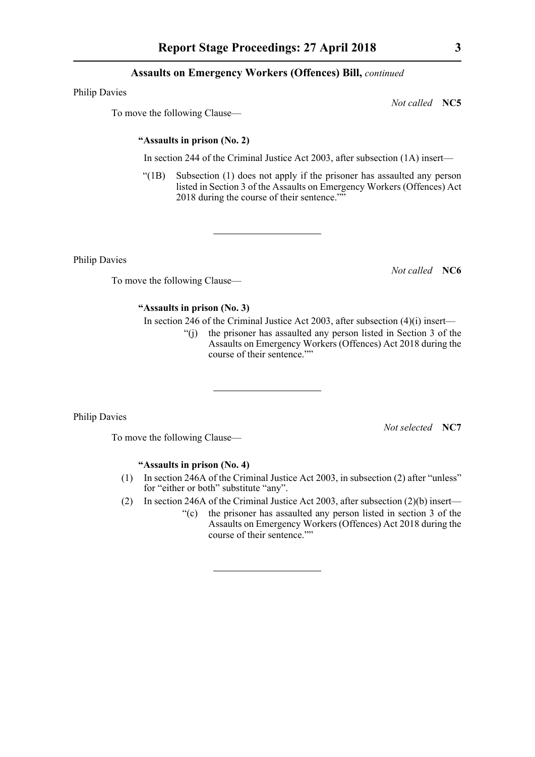Philip Davies

To move the following Clause—

**"Assaults in prison (No. 2)**

In section 244 of the Criminal Justice Act 2003, after subsection (1A) insert—

"(1B) Subsection (1) does not apply if the prisoner has assaulted any person listed in Section 3 of the Assaults on Emergency Workers (Offences) Act 2018 during the course of their sentence.""

Philip Davies

To move the following Clause—

#### **"Assaults in prison (No. 3)**

In section 246 of the Criminal Justice Act 2003, after subsection (4)(i) insert—

"(j) the prisoner has assaulted any person listed in Section 3 of the Assaults on Emergency Workers (Offences) Act 2018 during the course of their sentence.""

Philip Davies

*Not selected* **NC7**

To move the following Clause—

#### **"Assaults in prison (No. 4)**

- (1) In section 246A of the Criminal Justice Act 2003, in subsection (2) after "unless" for "either or both" substitute "any".
- (2) In section 246A of the Criminal Justice Act 2003, after subsection (2)(b) insert—
	- "(c) the prisoner has assaulted any person listed in section 3 of the Assaults on Emergency Workers (Offences) Act 2018 during the course of their sentence.""

*Not called* **NC5**

*Not called* **NC6**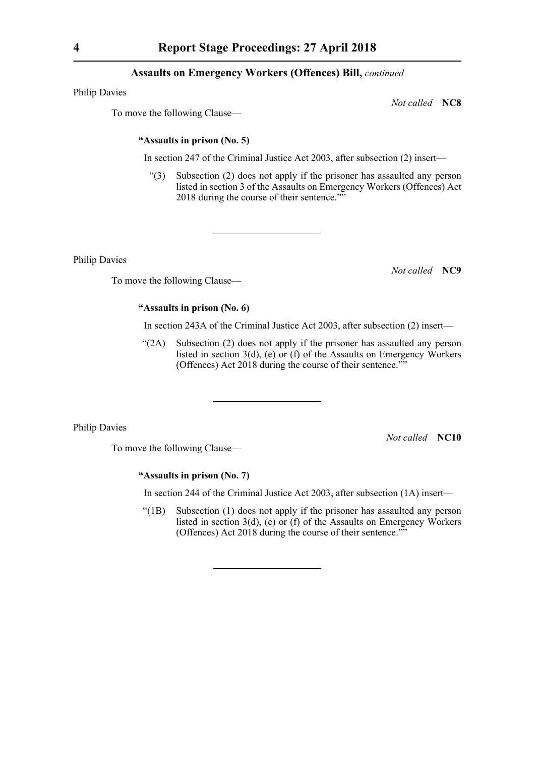Philip Davies

*Not called* **NC8**

To move the following Clause—

#### **"Assaults in prison (No. 5)**

In section 247 of the Criminal Justice Act 2003, after subsection (2) insert—

"(3) Subsection (2) does not apply if the prisoner has assaulted any person listed in section 3 of the Assaults on Emergency Workers (Offences) Act 2018 during the course of their sentence.""

Philip Davies

To move the following Clause—

## **"Assaults in prison (No. 6)**

In section 243A of the Criminal Justice Act 2003, after subsection (2) insert—

"(2A) Subsection (2) does not apply if the prisoner has assaulted any person listed in section 3(d), (e) or (f) of the Assaults on Emergency Workers (Offences) Act 2018 during the course of their sentence.""

Philip Davies

To move the following Clause—

*Not called* **NC10**

**"Assaults in prison (No. 7)**

In section 244 of the Criminal Justice Act 2003, after subsection (1A) insert—

"(1B) Subsection (1) does not apply if the prisoner has assaulted any person listed in section 3(d), (e) or (f) of the Assaults on Emergency Workers (Offences) Act 2018 during the course of their sentence.""

*Not called* **NC9**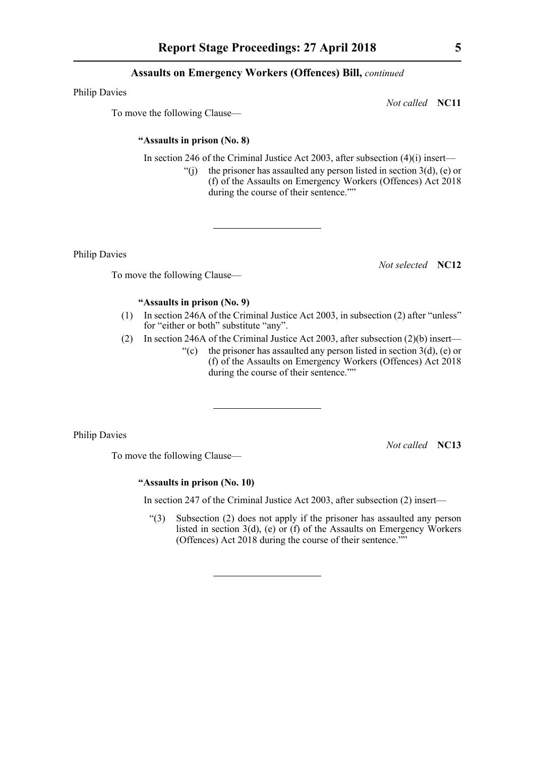Philip Davies

*Not called* **NC11**

To move the following Clause—

#### **"Assaults in prison (No. 8)**

In section 246 of the Criminal Justice Act 2003, after subsection  $(4)(i)$  insert—

"(i) the prisoner has assaulted any person listed in section  $3(d)$ , (e) or (f) of the Assaults on Emergency Workers (Offences) Act 2018 during the course of their sentence.""

Philip Davies

*Not selected* **NC12**

To move the following Clause—

### **"Assaults in prison (No. 9)**

- (1) In section 246A of the Criminal Justice Act 2003, in subsection (2) after "unless" for "either or both" substitute "any".
- (2) In section 246A of the Criminal Justice Act 2003, after subsection (2)(b) insert—
	- "(c) the prisoner has assaulted any person listed in section  $3(d)$ , (e) or (f) of the Assaults on Emergency Workers (Offences) Act 2018 during the course of their sentence.""

Philip Davies

*Not called* **NC13**

To move the following Clause—

#### **"Assaults in prison (No. 10)**

In section 247 of the Criminal Justice Act 2003, after subsection (2) insert—

"(3) Subsection (2) does not apply if the prisoner has assaulted any person listed in section 3(d), (e) or (f) of the Assaults on Emergency Workers (Offences) Act 2018 during the course of their sentence.""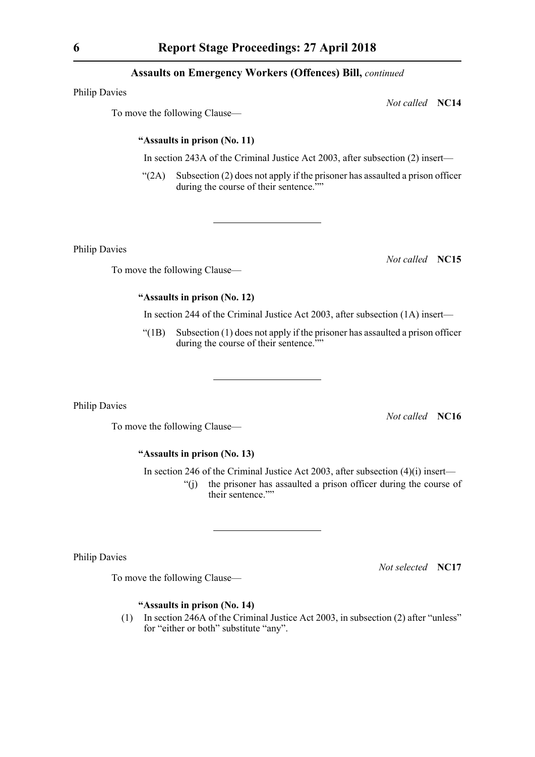Philip Davies

To move the following Clause—

#### **"Assaults in prison (No. 11)**

In section 243A of the Criminal Justice Act 2003, after subsection (2) insert—

 $\degree$ (2A) Subsection (2) does not apply if the prisoner has assaulted a prison officer during the course of their sentence.""

Philip Davies

To move the following Clause—

**"Assaults in prison (No. 12)**

In section 244 of the Criminal Justice Act 2003, after subsection (1A) insert—

 $"(1B)$  Subsection  $(1)$  does not apply if the prisoner has assaulted a prison officer during the course of their sentence.""

Philip Davies

*Not called* **NC16**

To move the following Clause—

#### **"Assaults in prison (No. 13)**

In section 246 of the Criminal Justice Act 2003, after subsection  $(4)(i)$  insert—

"(j) the prisoner has assaulted a prison officer during the course of their sentence.""

Philip Davies

To move the following Clause—

*Not selected* **NC17**

#### **"Assaults in prison (No. 14)**

(1) In section 246A of the Criminal Justice Act 2003, in subsection (2) after "unless" for "either or both" substitute "any".

*Not called* **NC15**

*Not called* **NC14**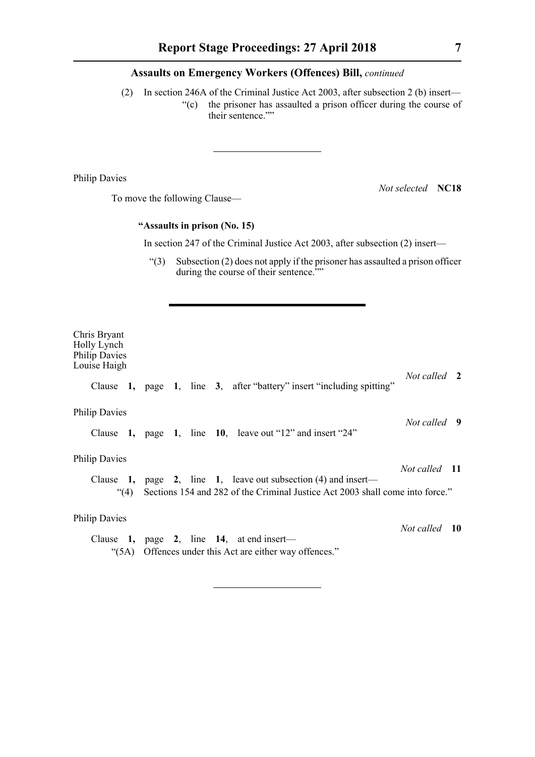(2) In section 246A of the Criminal Justice Act 2003, after subsection 2 (b) insert— "(c) the prisoner has assaulted a prison officer during the course of their sentence.""

Philip Davies

To move the following Clause—

*Not selected* **NC18**

#### **"Assaults in prison (No. 15)**

In section 247 of the Criminal Justice Act 2003, after subsection (2) insert—

"(3) Subsection (2) does not apply if the prisoner has assaulted a prison officer during the course of their sentence.""

Chris Bryant Holly Lynch Philip Davies Louise Haigh *Not called* **2** Clause **1,** page **1**, line **3**, after "battery" insert "including spitting" Philip Davies *Not called* **9** Clause **1,** page **1**, line **10**, leave out "12" and insert "24" Philip Davies *Not called* **11** Clause **1,** page **2**, line **1**, leave out subsection (4) and insert— "(4) Sections 154 and 282 of the Criminal Justice Act 2003 shall come into force." Philip Davies *Not called* **10** Clause **1,** page **2**, line **14**, at end insert— "(5A) Offences under this Act are either way offences."